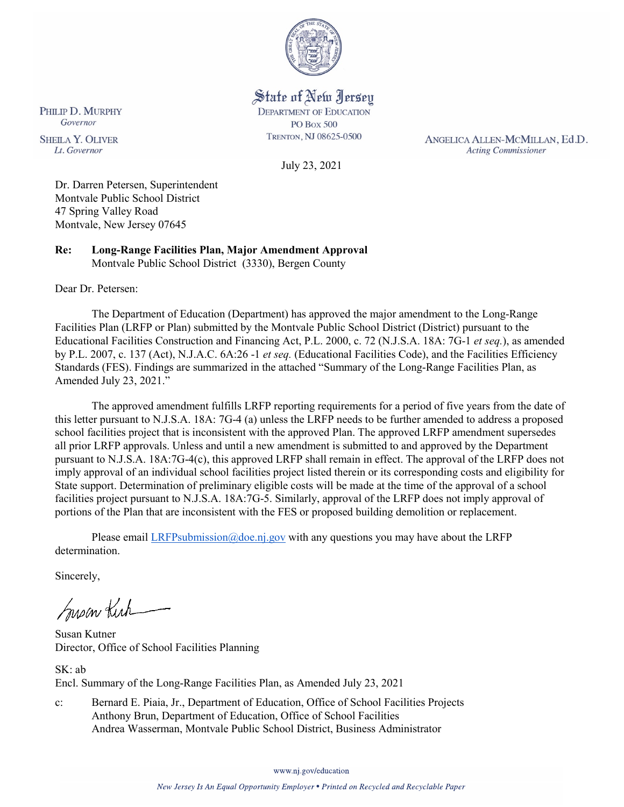

State of New Jersey

**DEPARTMENT OF EDUCATION PO Box 500** TRENTON, NJ 08625-0500

ANGELICA ALLEN-MCMILLAN, Ed.D. **Acting Commissioner** 

July 23, 2021

Dr. Darren Petersen, Superintendent Montvale Public School District 47 Spring Valley Road Montvale, New Jersey 07645

**Re: Long-Range Facilities Plan, Major Amendment Approval**  Montvale Public School District (3330), Bergen County

Dear Dr. Petersen:

PHILIP D. MURPHY

Governor

**SHEILA Y. OLIVER** 

Lt. Governor

The Department of Education (Department) has approved the major amendment to the Long-Range Facilities Plan (LRFP or Plan) submitted by the Montvale Public School District (District) pursuant to the Educational Facilities Construction and Financing Act, P.L. 2000, c. 72 (N.J.S.A. 18A: 7G-1 *et seq.*), as amended by P.L. 2007, c. 137 (Act), N.J.A.C. 6A:26 -1 *et seq.* (Educational Facilities Code), and the Facilities Efficiency Standards (FES). Findings are summarized in the attached "Summary of the Long-Range Facilities Plan, as Amended July 23, 2021."

The approved amendment fulfills LRFP reporting requirements for a period of five years from the date of this letter pursuant to N.J.S.A. 18A: 7G-4 (a) unless the LRFP needs to be further amended to address a proposed school facilities project that is inconsistent with the approved Plan. The approved LRFP amendment supersedes all prior LRFP approvals. Unless and until a new amendment is submitted to and approved by the Department pursuant to N.J.S.A. 18A:7G-4(c), this approved LRFP shall remain in effect. The approval of the LRFP does not imply approval of an individual school facilities project listed therein or its corresponding costs and eligibility for State support. Determination of preliminary eligible costs will be made at the time of the approval of a school facilities project pursuant to N.J.S.A. 18A:7G-5. Similarly, approval of the LRFP does not imply approval of portions of the Plan that are inconsistent with the FES or proposed building demolition or replacement.

Please email [LRFPsubmission@doe.nj.gov](mailto:LRFPsubmission@doe.nj.gov) with any questions you may have about the LRFP determination.

Sincerely,

Susan Kich

Susan Kutner Director, Office of School Facilities Planning

SK: ab Encl. Summary of the Long-Range Facilities Plan, as Amended July 23, 2021

c: Bernard E. Piaia, Jr., Department of Education, Office of School Facilities Projects Anthony Brun, Department of Education, Office of School Facilities Andrea Wasserman, Montvale Public School District, Business Administrator

www.nj.gov/education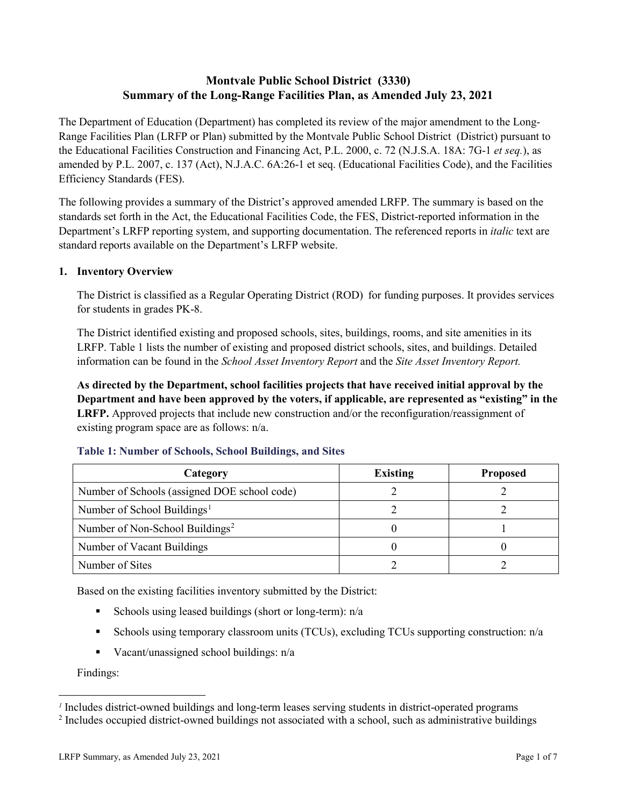# **Montvale Public School District (3330) Summary of the Long-Range Facilities Plan, as Amended July 23, 2021**

The Department of Education (Department) has completed its review of the major amendment to the Long-Range Facilities Plan (LRFP or Plan) submitted by the Montvale Public School District (District) pursuant to the Educational Facilities Construction and Financing Act, P.L. 2000, c. 72 (N.J.S.A. 18A: 7G-1 *et seq.*), as amended by P.L. 2007, c. 137 (Act), N.J.A.C. 6A:26-1 et seq. (Educational Facilities Code), and the Facilities Efficiency Standards (FES).

The following provides a summary of the District's approved amended LRFP. The summary is based on the standards set forth in the Act, the Educational Facilities Code, the FES, District-reported information in the Department's LRFP reporting system, and supporting documentation. The referenced reports in *italic* text are standard reports available on the Department's LRFP website.

### **1. Inventory Overview**

The District is classified as a Regular Operating District (ROD) for funding purposes. It provides services for students in grades PK-8.

The District identified existing and proposed schools, sites, buildings, rooms, and site amenities in its LRFP. Table 1 lists the number of existing and proposed district schools, sites, and buildings. Detailed information can be found in the *School Asset Inventory Report* and the *Site Asset Inventory Report.*

**As directed by the Department, school facilities projects that have received initial approval by the Department and have been approved by the voters, if applicable, are represented as "existing" in the LRFP.** Approved projects that include new construction and/or the reconfiguration/reassignment of existing program space are as follows: n/a.

| Category                                     | <b>Existing</b> | <b>Proposed</b> |
|----------------------------------------------|-----------------|-----------------|
| Number of Schools (assigned DOE school code) |                 |                 |
| Number of School Buildings <sup>1</sup>      |                 |                 |
| Number of Non-School Buildings <sup>2</sup>  |                 |                 |
| Number of Vacant Buildings                   |                 |                 |
| Number of Sites                              |                 |                 |

#### **Table 1: Number of Schools, School Buildings, and Sites**

Based on the existing facilities inventory submitted by the District:

- Schools using leased buildings (short or long-term):  $n/a$
- Schools using temporary classroom units (TCUs), excluding TCUs supporting construction: n/a
- Vacant/unassigned school buildings:  $n/a$

Findings:

 $\overline{a}$ 

<span id="page-1-1"></span><span id="page-1-0"></span>*<sup>1</sup>* Includes district-owned buildings and long-term leases serving students in district-operated programs

<sup>&</sup>lt;sup>2</sup> Includes occupied district-owned buildings not associated with a school, such as administrative buildings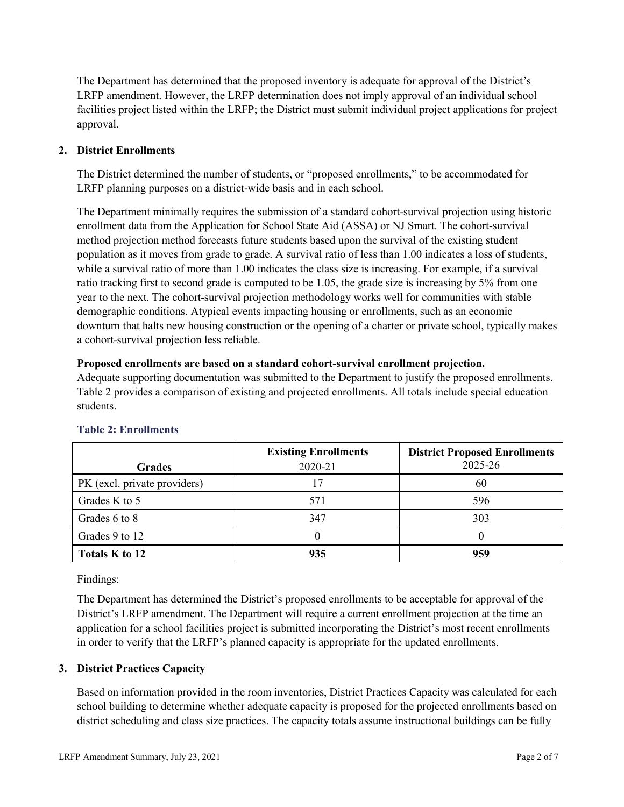The Department has determined that the proposed inventory is adequate for approval of the District's LRFP amendment. However, the LRFP determination does not imply approval of an individual school facilities project listed within the LRFP; the District must submit individual project applications for project approval.

### **2. District Enrollments**

The District determined the number of students, or "proposed enrollments," to be accommodated for LRFP planning purposes on a district-wide basis and in each school.

The Department minimally requires the submission of a standard cohort-survival projection using historic enrollment data from the Application for School State Aid (ASSA) or NJ Smart. The cohort-survival method projection method forecasts future students based upon the survival of the existing student population as it moves from grade to grade. A survival ratio of less than 1.00 indicates a loss of students, while a survival ratio of more than 1.00 indicates the class size is increasing. For example, if a survival ratio tracking first to second grade is computed to be 1.05, the grade size is increasing by 5% from one year to the next. The cohort-survival projection methodology works well for communities with stable demographic conditions. Atypical events impacting housing or enrollments, such as an economic downturn that halts new housing construction or the opening of a charter or private school, typically makes a cohort-survival projection less reliable.

#### **Proposed enrollments are based on a standard cohort-survival enrollment projection.**

Adequate supporting documentation was submitted to the Department to justify the proposed enrollments. Table 2 provides a comparison of existing and projected enrollments. All totals include special education students.

| <b>Grades</b>                | <b>Existing Enrollments</b><br>2020-21 | <b>District Proposed Enrollments</b><br>2025-26 |
|------------------------------|----------------------------------------|-------------------------------------------------|
| PK (excl. private providers) | $\overline{17}$                        | 60                                              |
| Grades K to 5                | 571                                    | 596                                             |
| Grades 6 to 8                | 347                                    | 303                                             |
| Grades 9 to 12               |                                        |                                                 |
| Totals K to 12               | 935                                    | 959                                             |

# **Table 2: Enrollments**

Findings:

The Department has determined the District's proposed enrollments to be acceptable for approval of the District's LRFP amendment. The Department will require a current enrollment projection at the time an application for a school facilities project is submitted incorporating the District's most recent enrollments in order to verify that the LRFP's planned capacity is appropriate for the updated enrollments.

# **3. District Practices Capacity**

Based on information provided in the room inventories, District Practices Capacity was calculated for each school building to determine whether adequate capacity is proposed for the projected enrollments based on district scheduling and class size practices. The capacity totals assume instructional buildings can be fully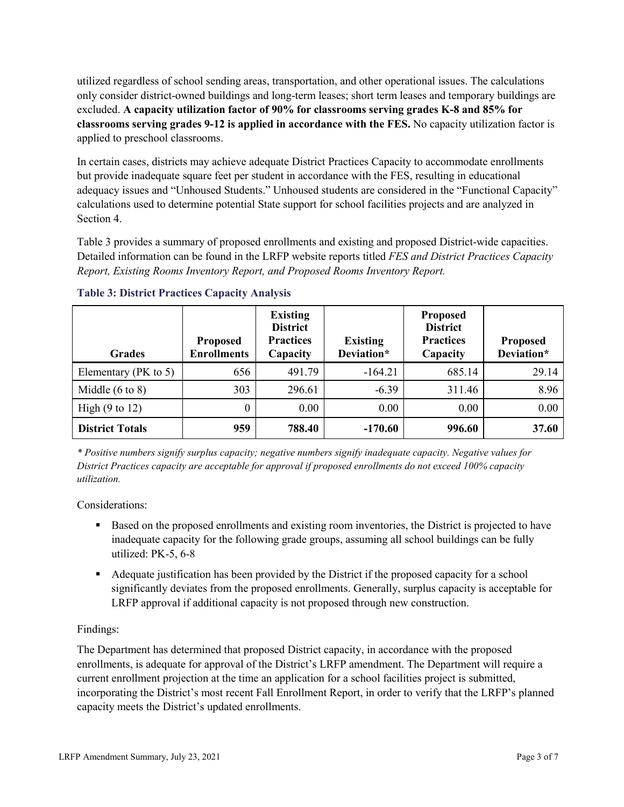utilized regardless of school sending areas, transportation, and other operational issues. The calculations only consider district-owned buildings and long-term leases; short term leases and temporary buildings are excluded. **A capacity utilization factor of 90% for classrooms serving grades K-8 and 85% for classrooms serving grades 9-12 is applied in accordance with the FES.** No capacity utilization factor is applied to preschool classrooms.

In certain cases, districts may achieve adequate District Practices Capacity to accommodate enrollments but provide inadequate square feet per student in accordance with the FES, resulting in educational adequacy issues and "Unhoused Students." Unhoused students are considered in the "Functional Capacity" calculations used to determine potential State support for school facilities projects and are analyzed in Section 4.

Table 3 provides a summary of proposed enrollments and existing and proposed District-wide capacities. Detailed information can be found in the LRFP website reports titled *FES and District Practices Capacity Report, Existing Rooms Inventory Report, and Proposed Rooms Inventory Report.*

| <b>Grades</b>              | <b>Proposed</b><br><b>Enrollments</b> | <b>Existing</b><br><b>District</b><br><b>Practices</b><br>Capacity | <b>Existing</b><br>Deviation* | <b>Proposed</b><br><b>District</b><br><b>Practices</b><br>Capacity | <b>Proposed</b><br>Deviation* |
|----------------------------|---------------------------------------|--------------------------------------------------------------------|-------------------------------|--------------------------------------------------------------------|-------------------------------|
| Elementary ( $PK$ to 5)    | 656                                   | 491.79                                                             | $-164.21$                     | 685.14                                                             | 29.14                         |
| Middle $(6 \text{ to } 8)$ | 303                                   | 296.61                                                             | $-6.39$                       | 311.46                                                             | 8.96                          |
| High $(9 \text{ to } 12)$  | 0                                     | 0.00                                                               | 0.00                          | 0.00                                                               | 0.00                          |
| <b>District Totals</b>     | 959                                   | 788.40                                                             | $-170.60$                     | 996.60                                                             | 37.60                         |

**Table 3: District Practices Capacity Analysis**

*\* Positive numbers signify surplus capacity; negative numbers signify inadequate capacity. Negative values for District Practices capacity are acceptable for approval if proposed enrollments do not exceed 100% capacity utilization.*

Considerations:

- Based on the proposed enrollments and existing room inventories, the District is projected to have inadequate capacity for the following grade groups, assuming all school buildings can be fully utilized: PK-5, 6-8
- Adequate justification has been provided by the District if the proposed capacity for a school significantly deviates from the proposed enrollments. Generally, surplus capacity is acceptable for LRFP approval if additional capacity is not proposed through new construction.

# Findings:

The Department has determined that proposed District capacity, in accordance with the proposed enrollments, is adequate for approval of the District's LRFP amendment. The Department will require a current enrollment projection at the time an application for a school facilities project is submitted, incorporating the District's most recent Fall Enrollment Report, in order to verify that the LRFP's planned capacity meets the District's updated enrollments.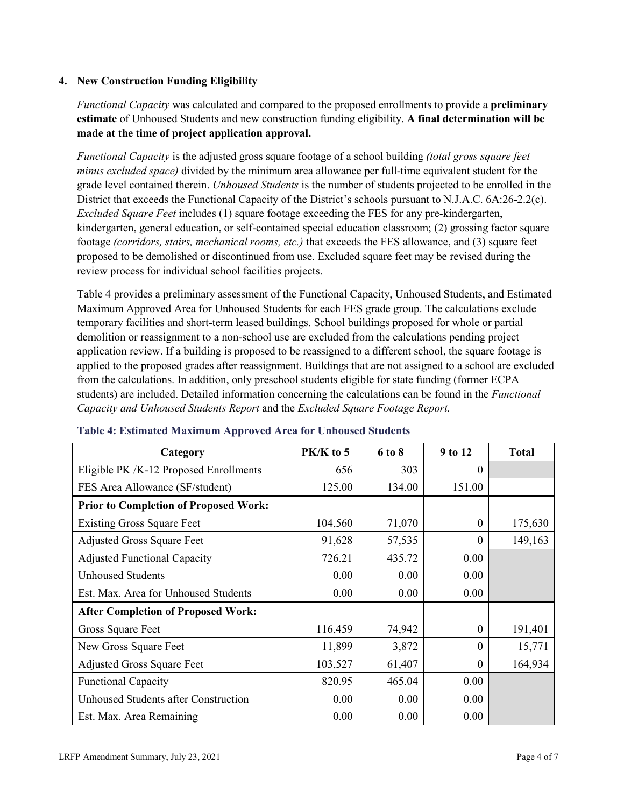## **4. New Construction Funding Eligibility**

*Functional Capacity* was calculated and compared to the proposed enrollments to provide a **preliminary estimate** of Unhoused Students and new construction funding eligibility. **A final determination will be made at the time of project application approval.**

*Functional Capacity* is the adjusted gross square footage of a school building *(total gross square feet minus excluded space)* divided by the minimum area allowance per full-time equivalent student for the grade level contained therein. *Unhoused Students* is the number of students projected to be enrolled in the District that exceeds the Functional Capacity of the District's schools pursuant to N.J.A.C. 6A:26-2.2(c). *Excluded Square Feet* includes (1) square footage exceeding the FES for any pre-kindergarten, kindergarten, general education, or self-contained special education classroom; (2) grossing factor square footage *(corridors, stairs, mechanical rooms, etc.)* that exceeds the FES allowance, and (3) square feet proposed to be demolished or discontinued from use. Excluded square feet may be revised during the review process for individual school facilities projects.

Table 4 provides a preliminary assessment of the Functional Capacity, Unhoused Students, and Estimated Maximum Approved Area for Unhoused Students for each FES grade group. The calculations exclude temporary facilities and short-term leased buildings. School buildings proposed for whole or partial demolition or reassignment to a non-school use are excluded from the calculations pending project application review. If a building is proposed to be reassigned to a different school, the square footage is applied to the proposed grades after reassignment. Buildings that are not assigned to a school are excluded from the calculations. In addition, only preschool students eligible for state funding (former ECPA students) are included. Detailed information concerning the calculations can be found in the *Functional Capacity and Unhoused Students Report* and the *Excluded Square Footage Report.*

| Category                                     | PK/K to 5 | 6 to 8 | 9 to 12  | <b>Total</b> |
|----------------------------------------------|-----------|--------|----------|--------------|
| Eligible PK /K-12 Proposed Enrollments       | 656       | 303    | 0        |              |
| FES Area Allowance (SF/student)              | 125.00    | 134.00 | 151.00   |              |
| <b>Prior to Completion of Proposed Work:</b> |           |        |          |              |
| <b>Existing Gross Square Feet</b>            | 104,560   | 71,070 | $\theta$ | 175,630      |
| <b>Adjusted Gross Square Feet</b>            | 91,628    | 57,535 | $\theta$ | 149,163      |
| <b>Adjusted Functional Capacity</b>          | 726.21    | 435.72 | 0.00     |              |
| <b>Unhoused Students</b>                     | 0.00      | 0.00   | 0.00     |              |
| Est. Max. Area for Unhoused Students         | 0.00      | 0.00   | 0.00     |              |
| <b>After Completion of Proposed Work:</b>    |           |        |          |              |
| Gross Square Feet                            | 116,459   | 74,942 | $\theta$ | 191,401      |
| New Gross Square Feet                        | 11,899    | 3,872  | $\theta$ | 15,771       |
| <b>Adjusted Gross Square Feet</b>            | 103,527   | 61,407 | $\theta$ | 164,934      |
| <b>Functional Capacity</b>                   | 820.95    | 465.04 | 0.00     |              |
| Unhoused Students after Construction         | 0.00      | 0.00   | 0.00     |              |
| Est. Max. Area Remaining                     | 0.00      | 0.00   | 0.00     |              |

#### **Table 4: Estimated Maximum Approved Area for Unhoused Students**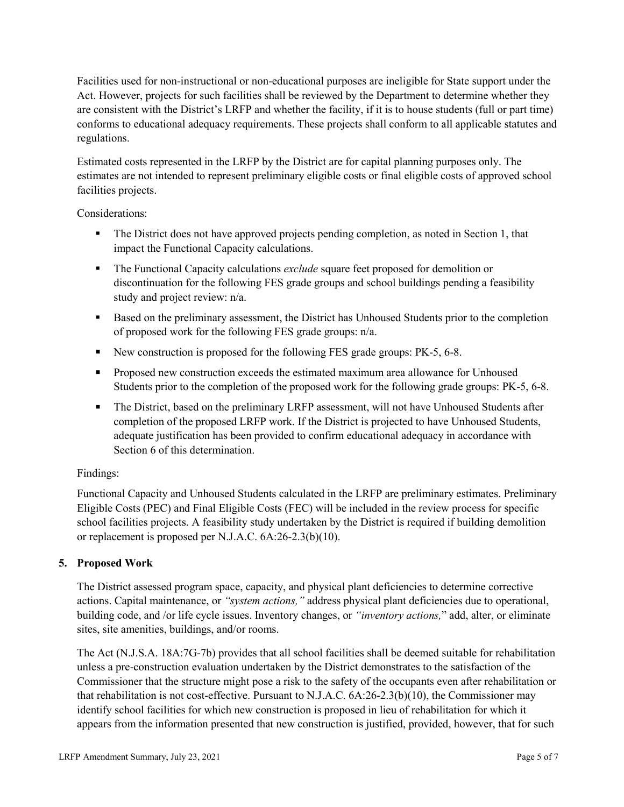Facilities used for non-instructional or non-educational purposes are ineligible for State support under the Act. However, projects for such facilities shall be reviewed by the Department to determine whether they are consistent with the District's LRFP and whether the facility, if it is to house students (full or part time) conforms to educational adequacy requirements. These projects shall conform to all applicable statutes and regulations.

Estimated costs represented in the LRFP by the District are for capital planning purposes only. The estimates are not intended to represent preliminary eligible costs or final eligible costs of approved school facilities projects.

Considerations:

- The District does not have approved projects pending completion, as noted in Section 1, that impact the Functional Capacity calculations.
- **The Functional Capacity calculations** *exclude* square feet proposed for demolition or discontinuation for the following FES grade groups and school buildings pending a feasibility study and project review: n/a.
- Based on the preliminary assessment, the District has Unhoused Students prior to the completion of proposed work for the following FES grade groups: n/a.
- New construction is proposed for the following FES grade groups: PK-5, 6-8.
- Proposed new construction exceeds the estimated maximum area allowance for Unhoused Students prior to the completion of the proposed work for the following grade groups: PK-5, 6-8.
- The District, based on the preliminary LRFP assessment, will not have Unhoused Students after completion of the proposed LRFP work. If the District is projected to have Unhoused Students, adequate justification has been provided to confirm educational adequacy in accordance with Section 6 of this determination.

# Findings:

Functional Capacity and Unhoused Students calculated in the LRFP are preliminary estimates. Preliminary Eligible Costs (PEC) and Final Eligible Costs (FEC) will be included in the review process for specific school facilities projects. A feasibility study undertaken by the District is required if building demolition or replacement is proposed per N.J.A.C. 6A:26-2.3(b)(10).

# **5. Proposed Work**

The District assessed program space, capacity, and physical plant deficiencies to determine corrective actions. Capital maintenance, or *"system actions,"* address physical plant deficiencies due to operational, building code, and /or life cycle issues. Inventory changes, or *"inventory actions,*" add, alter, or eliminate sites, site amenities, buildings, and/or rooms.

The Act (N.J.S.A. 18A:7G-7b) provides that all school facilities shall be deemed suitable for rehabilitation unless a pre-construction evaluation undertaken by the District demonstrates to the satisfaction of the Commissioner that the structure might pose a risk to the safety of the occupants even after rehabilitation or that rehabilitation is not cost-effective. Pursuant to N.J.A.C. 6A:26-2.3(b)(10), the Commissioner may identify school facilities for which new construction is proposed in lieu of rehabilitation for which it appears from the information presented that new construction is justified, provided, however, that for such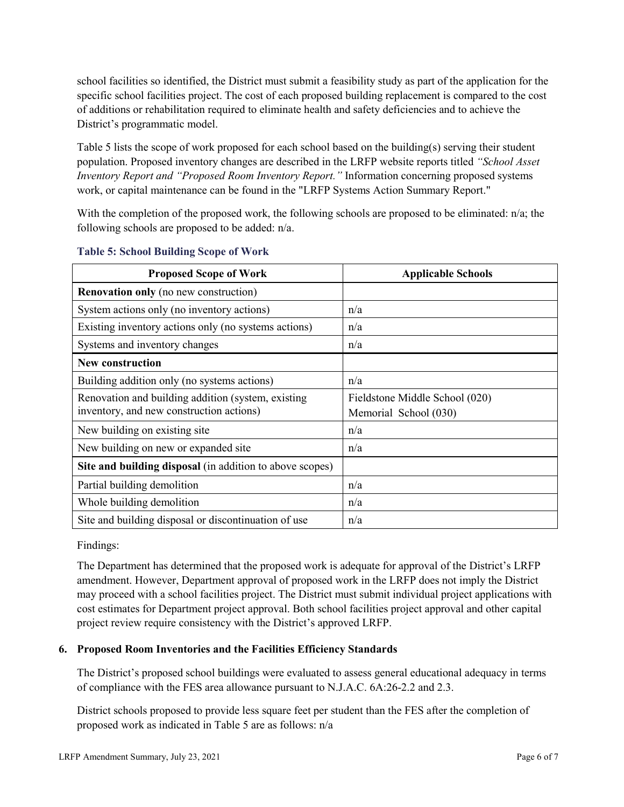school facilities so identified, the District must submit a feasibility study as part of the application for the specific school facilities project. The cost of each proposed building replacement is compared to the cost of additions or rehabilitation required to eliminate health and safety deficiencies and to achieve the District's programmatic model.

Table 5 lists the scope of work proposed for each school based on the building(s) serving their student population. Proposed inventory changes are described in the LRFP website reports titled *"School Asset Inventory Report and "Proposed Room Inventory Report."* Information concerning proposed systems work, or capital maintenance can be found in the "LRFP Systems Action Summary Report."

With the completion of the proposed work, the following schools are proposed to be eliminated: n/a; the following schools are proposed to be added: n/a.

| <b>Proposed Scope of Work</b>                            | <b>Applicable Schools</b>      |
|----------------------------------------------------------|--------------------------------|
| <b>Renovation only</b> (no new construction)             |                                |
| System actions only (no inventory actions)               | n/a                            |
| Existing inventory actions only (no systems actions)     | n/a                            |
| Systems and inventory changes                            | n/a                            |
| <b>New construction</b>                                  |                                |
| Building addition only (no systems actions)              | n/a                            |
| Renovation and building addition (system, existing       | Fieldstone Middle School (020) |
| inventory, and new construction actions)                 | Memorial School (030)          |
| New building on existing site                            | n/a                            |
| New building on new or expanded site                     | n/a                            |
| Site and building disposal (in addition to above scopes) |                                |
| Partial building demolition                              | n/a                            |
| Whole building demolition                                | n/a                            |
| Site and building disposal or discontinuation of use     | n/a                            |

### **Table 5: School Building Scope of Work**

#### Findings:

The Department has determined that the proposed work is adequate for approval of the District's LRFP amendment. However, Department approval of proposed work in the LRFP does not imply the District may proceed with a school facilities project. The District must submit individual project applications with cost estimates for Department project approval. Both school facilities project approval and other capital project review require consistency with the District's approved LRFP.

# **6. Proposed Room Inventories and the Facilities Efficiency Standards**

The District's proposed school buildings were evaluated to assess general educational adequacy in terms of compliance with the FES area allowance pursuant to N.J.A.C. 6A:26-2.2 and 2.3.

District schools proposed to provide less square feet per student than the FES after the completion of proposed work as indicated in Table 5 are as follows: n/a